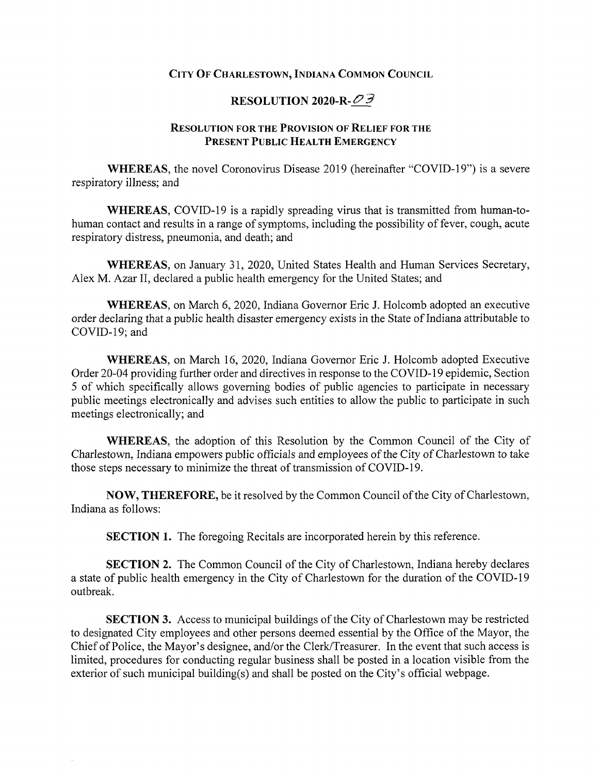## **City Of Charlestown, Indiana Common Council**

## **RESOLUTION 2020-R-^^**

## **Resolution for the Provision of Relief for the Present Public Health Emergency**

**WHEREAS,** the novel Coronoviras Disease 2019 (hereinafter "COVID-19") is a severe respiratory illness; and

**WHEREAS,** COVID-19 is a rapidly spreading virus that is transmitted from human-tohuman contact and results in a range of symptoms, including the possibility of fever, cough, acute respiratory distress, pneumonia, and death; and

**WHEREAS,** on January 31, 2020, United States Health and Human Services Secretary, Alex M. Azar II, declared a public health emergency for the United States; and

**WHEREAS,** on March 6, 2020, Indiana Governor Eric J. Holcomb adopted an executive order declaring that a public health disaster emergency exists in the State of Indiana attributable to COVID-19; and

**WHEREAS,** on March 16, 2020, Indiana Governor Eric J. Holcomb adopted Executive Order 20-04 providing further order and directives in response to the COVID-19 epidemic. Section 5 of which specifically allows governing bodies of public agencies to participate in necessary public meetings electronically and advises such entities to allow the public to participate in such meetings electronically; and

**WHEREAS,** the adoption of this Resolution by the Common Council of the City of Charlestown, Indiana empowers public officials and employees of the City of Charlestown to take those steps necessary to minimize the threat of transmission of COVID-19.

**NOW, THEREFORE,** be it resolved by the Common Council of the City of Charlestown, Indiana as follows:

**SECTION 1.** The foregoing Recitals are incorporated herein by this reference.

**SECTION 2.** The Common Council of the City of Charlestown, Indiana hereby declares a state of public health emergency in the City of Charlestown for the duration of the COVID-19 outbreak.

**SECTION 3.** Access to municipal buildings of the City of Charlestown may be restricted to designated City employees and other persons deemed essential by the Office of the Mayor, the Chief of Police, the Mayor's designee, and/or the Clerk/Treasurer. In the event that such access is limited, procedures for conducting regular business shall be posted in a location visible from the exterior of such municipal building(s) and shall be posted on the City's official webpage.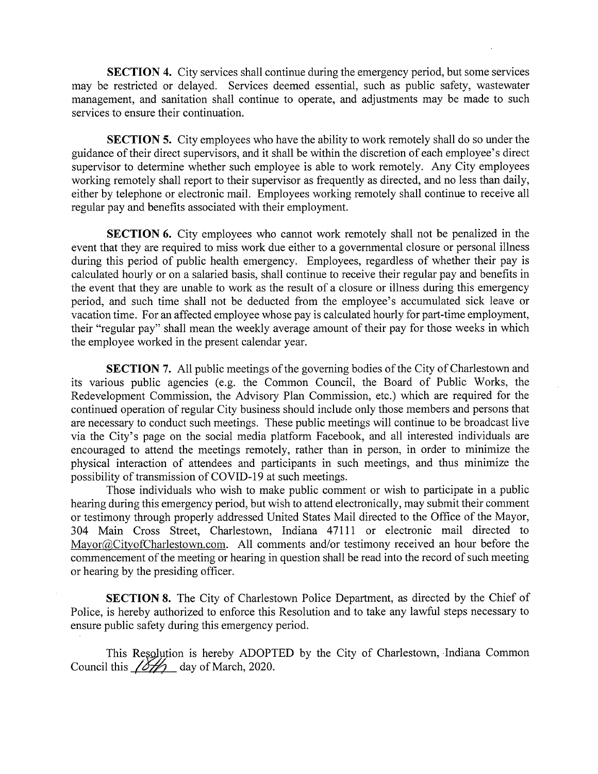**SECTION 4.** City services shall continue during the emergency period, but some services may be restricted or delayed. Services deemed essential, such as public safety, wastewater management, and sanitation shall continue to operate, and adjustments may be made to such services to ensure their continuation.

**SECTION 5.** City employees who have the ability to work remotely shall do so under the guidance oftheir direct supervisors, and it shall be within the discretion of each employee's direct supervisor to determine whether such employee is able to work remotely. Any City employees working remotely shall report to their supervisor as frequently as directed, and no less than daily, either by telephone or electronic mail. Employees working remotely shall continue to receive all regular pay and benefits associated with their employment.

**SECTION 6.** City employees who cannot work remotely shall not be penalized in the event that they are required to miss work due either to a governmental closure or personal illness during this period of public health emergency. Employees, regardless of whether their pay is calculated hourly or on a salaried basis, shall continue to receive their regular pay and benefits in the event that they are unable to work as the result of a closure or illness during this emergency period, and such time shall not be deducted from the employee's accumulated sick leave or vacation time. For an affected employee whose pay is calculated hourly for part-time employment, their "regular pay" shall mean the weekly average amount of their pay for those weeks in which the employee worked in the present calendar year.

**SECTION 7.** All public meetings of the governing bodies of the City of Charlestown and its various public agencies (e.g. the Common Council, the Board of Public Works, the Redevelopment Commission, the Advisory Plan Commission, etc.) which are required for the continued operation of regular City business should include only those members and persons that are necessary to conduct such meetings. These public meetings will continue to be broadcast live via the City's page on the social media platform Facebook, and all interested individuals are encouraged to attend the meetings remotely, rather than in person, in order to minimize the physical interaction of attendees and participants in such meetings, and thus minimize the possibility of transmission of COVID-19 at such meetings.

Those individuals who wish to make public comment or wish to participate in a public hearing during this emergency period, but wish to attend electronically, may submit their comment or testimony through properly addressed United States Mail directed to the Office of the Mayor, 304 Main Cross Street, Charlestown, Indiana 47111 or electronic mail directed to Mayor@CityofCharlestown.com. All comments and/or testimony received an hour before the commencement of the meeting or hearing in question shall be read into the record of such meeting or hearing by the presiding officer.

**SECTION** 8. The City of Charlestown Police Department, as directed by the Chief of Police, is hereby authorized to enforce this Resolution and to take any lawful steps necessary to ensure public safety during this emergency period.

This Resolution is hereby ADOPTED by the City of Charlestown, Indiana Common Council this  $\sqrt{\frac{\delta \mathcal{H}}{\delta}}$  day of March, 2020.